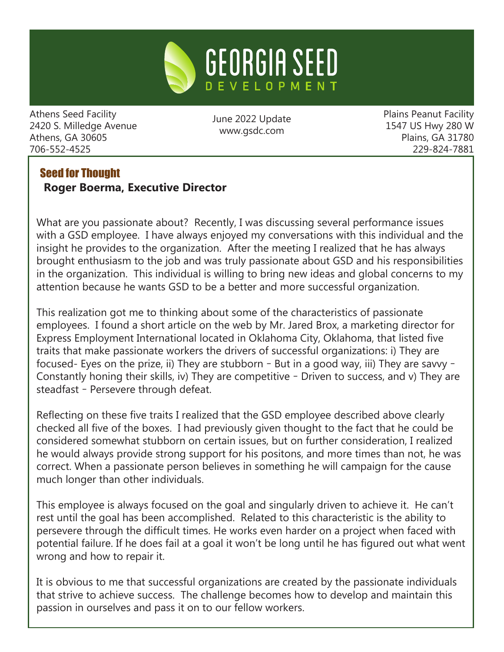

Athens Seed Facility 2420 S. Milledge Avenue Athens, GA 30605 706-552-4525

June 2022 Update www.gsdc.com

Plains Peanut Facility 1547 US Hwy 280 W Plains, GA 31780 229-824-7881

# Seed for Thought **Roger Boerma, Executive Director**

What are you passionate about? Recently, I was discussing several performance issues with a GSD employee. I have always enjoyed my conversations with this individual and the insight he provides to the organization. After the meeting I realized that he has always brought enthusiasm to the job and was truly passionate about GSD and his responsibilities in the organization. This individual is willing to bring new ideas and global concerns to my attention because he wants GSD to be a better and more successful organization.

This realization got me to thinking about some of the characteristics of passionate employees. I found a short article on the web by Mr. Jared Brox, a marketing director for Express Employment International located in Oklahoma City, Oklahoma, that listed five traits that make passionate workers the drivers of successful organizations: i) They are focused- Eyes on the prize, ii) They are stubborn – But in a good way, iii) They are savvy – Constantly honing their skills, iv) They are competitive – Driven to success, and v) They are steadfast – Persevere through defeat.

Reflecting on these five traits I realized that the GSD employee described above clearly checked all five of the boxes. I had previously given thought to the fact that he could be considered somewhat stubborn on certain issues, but on further consideration, I realized he would always provide strong support for his positons, and more times than not, he was correct. When a passionate person believes in something he will campaign for the cause much longer than other individuals.

This employee is always focused on the goal and singularly driven to achieve it. He can't rest until the goal has been accomplished. Related to this characteristic is the ability to persevere through the difficult times. He works even harder on a project when faced with potential failure. If he does fail at a goal it won't be long until he has figured out what went wrong and how to repair it.

It is obvious to me that successful organizations are created by the passionate individuals that strive to achieve success. The challenge becomes how to develop and maintain this passion in ourselves and pass it on to our fellow workers.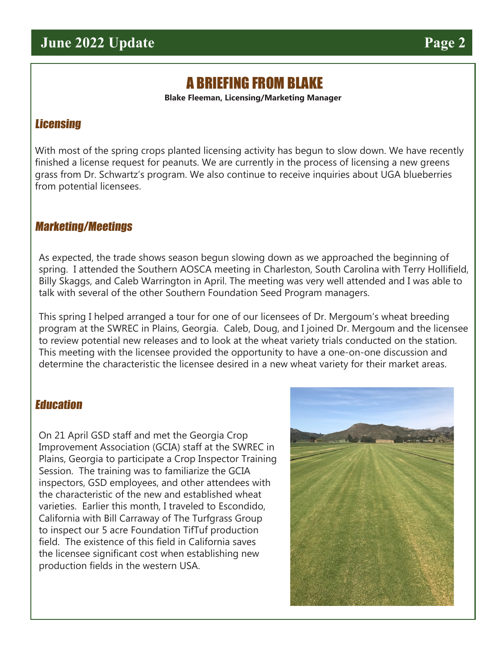# A BRIEFING FROM BLAKE

**Blake Fleeman, Licensing/Marketing Manager**

# **Licensing**

With most of the spring crops planted licensing activity has begun to slow down. We have recently finished a license request for peanuts. We are currently in the process of licensing a new greens grass from Dr. Schwartz's program. We also continue to receive inquiries about UGA blueberries from potential licensees.

### Marketing/Meetings

As expected, the trade shows season begun slowing down as we approached the beginning of spring. I attended the Southern AOSCA meeting in Charleston, South Carolina with Terry Hollifield, Billy Skaggs, and Caleb Warrington in April. The meeting was very well attended and I was able to talk with several of the other Southern Foundation Seed Program managers.

This spring I helped arranged a tour for one of our licensees of Dr. Mergoum's wheat breeding program at the SWREC in Plains, Georgia. Caleb, Doug, and I joined Dr. Mergoum and the licensee to review potential new releases and to look at the wheat variety trials conducted on the station. This meeting with the licensee provided the opportunity to have a one-on-one discussion and determine the characteristic the licensee desired in a new wheat variety for their market areas.

## **Education**

On 21 April GSD staff and met the Georgia Crop Improvement Association (GCIA) staff at the SWREC in Plains, Georgia to participate a Crop Inspector Training Session. The training was to familiarize the GCIA inspectors, GSD employees, and other attendees with the characteristic of the new and established wheat varieties. Earlier this month, I traveled to Escondido, California with Bill Carraway of The Turfgrass Group to inspect our 5 acre Foundation TifTuf production field. The existence of this field in California saves the licensee significant cost when establishing new production fields in the western USA.

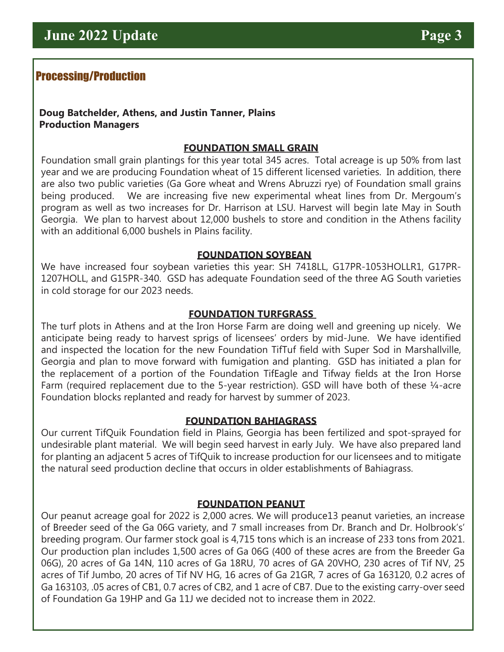# Processing/Production

#### **Doug Batchelder, Athens, and Justin Tanner, Plains Production Managers**

#### **FOUNDATION SMALL GRAIN**

Foundation small grain plantings for this year total 345 acres. Total acreage is up 50% from last year and we are producing Foundation wheat of 15 different licensed varieties. In addition, there are also two public varieties (Ga Gore wheat and Wrens Abruzzi rye) of Foundation small grains being produced. We are increasing five new experimental wheat lines from Dr. Mergoum's program as well as two increases for Dr. Harrison at LSU. Harvest will begin late May in South Georgia. We plan to harvest about 12,000 bushels to store and condition in the Athens facility with an additional 6,000 bushels in Plains facility.

#### **FOUNDATION SOYBEAN**

We have increased four soybean varieties this year: SH 7418LL, G17PR-1053HOLLR1, G17PR-1207HOLL, and G15PR-340. GSD has adequate Foundation seed of the three AG South varieties in cold storage for our 2023 needs.

#### **FOUNDATION TURFGRASS**

The turf plots in Athens and at the Iron Horse Farm are doing well and greening up nicely. We anticipate being ready to harvest sprigs of licensees' orders by mid-June. We have identified and inspected the location for the new Foundation TifTuf field with Super Sod in Marshallville, Georgia and plan to move forward with fumigation and planting. GSD has initiated a plan for the replacement of a portion of the Foundation TifEagle and Tifway fields at the Iron Horse Farm (required replacement due to the 5-year restriction). GSD will have both of these ¼-acre Foundation blocks replanted and ready for harvest by summer of 2023.

#### **FOUNDATION BAHIAGRASS**

Our current TifQuik Foundation field in Plains, Georgia has been fertilized and spot-sprayed for undesirable plant material. We will begin seed harvest in early July. We have also prepared land for planting an adjacent 5 acres of TifQuik to increase production for our licensees and to mitigate the natural seed production decline that occurs in older establishments of Bahiagrass.

#### **FOUNDATION PEANUT**

Our peanut acreage goal for 2022 is 2,000 acres. We will produce13 peanut varieties, an increase of Breeder seed of the Ga 06G variety, and 7 small increases from Dr. Branch and Dr. Holbrook's' breeding program. Our farmer stock goal is 4,715 tons which is an increase of 233 tons from 2021. Our production plan includes 1,500 acres of Ga 06G (400 of these acres are from the Breeder Ga 06G), 20 acres of Ga 14N, 110 acres of Ga 18RU, 70 acres of GA 20VHO, 230 acres of Tif NV, 25 acres of Tif Jumbo, 20 acres of Tif NV HG, 16 acres of Ga 21GR, 7 acres of Ga 163120, 0.2 acres of Ga 163103, .05 acres of CB1, 0.7 acres of CB2, and 1 acre of CB7. Due to the existing carry-over seed of Foundation Ga 19HP and Ga 11J we decided not to increase them in 2022.